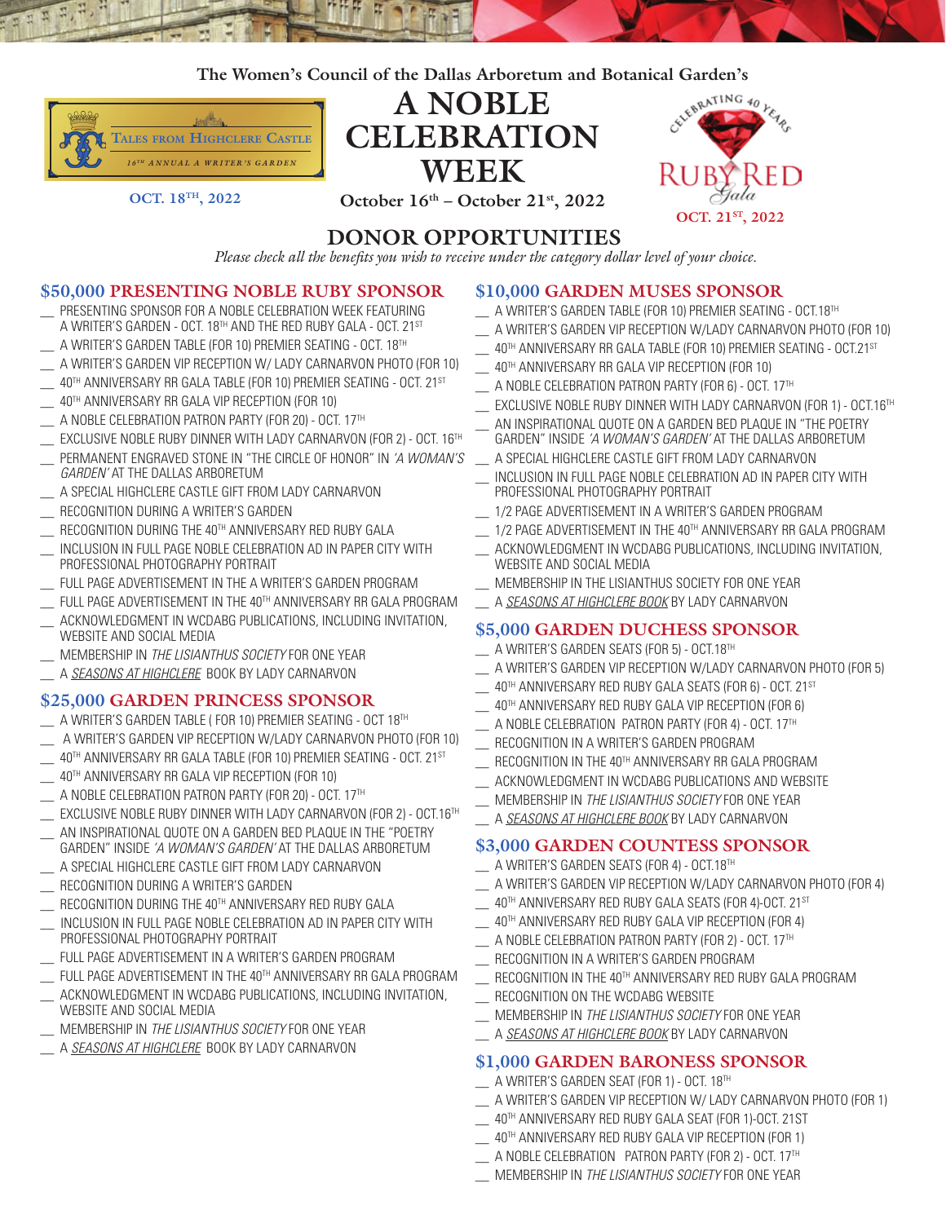**The Women's Council of the Dallas Arboretum and Botanical Garden's**



**DONOR OPPORTUNITIES**

*Please check all the benefits you wish to receive under the category dollar level of your choice.*

## **\$50,000 PRESENTING NOBLE RUBY SPONSOR**

- PRESENTING SPONSOR FOR A NOBLE CELEBRATION WEEK FEATURING A WRITER'S GARDEN - OCT. 18TH AND THE RED RUBY GALA - OCT. 21ST
- A WRITER'S GARDEN TABLE (FOR 10) PREMIER SEATING OCT. 18TH
- A WRITER'S GARDEN VIP RECEPTION W/ LADY CARNARVON PHOTO (FOR 10)
- 40TH ANNIVERSARY RR GALA TABLE (FOR 10) PREMIER SEATING OCT. 21ST
- 40TH ANNIVERSARY RR GALA VIP RECEPTION (FOR 10)
- \_\_ A NOBLE CELEBRATION PATRON PARTY (FOR 20) OCT. 17TH
- EXCLUSIVE NOBLE RUBY DINNER WITH LADY CARNARVON (FOR 2) OCT. 16TH
- \_\_ PERMANENT ENGRAVED STONE IN "THE CIRCLE OF HONOR" IN *'A WOMAN'S GARDEN'* AT THE DALLAS ARBORETUM
- A SPECIAL HIGHCLERE CASTLE GIFT FROM LADY CARNARVON
- RECOGNITION DURING A WRITER'S GARDEN
- RECOGNITION DURING THE 40TH ANNIVERSARY RED RUBY GALA
- INCLUSION IN FULL PAGE NOBLE CELEBRATION AD IN PAPER CITY WITH PROFESSIONAL PHOTOGRAPHY PORTRAIT
- FULL PAGE ADVERTISEMENT IN THE A WRITER'S GARDEN PROGRAM
- FULL PAGE ADVERTISEMENT IN THE 40TH ANNIVERSARY RR GALA PROGRAM
- ACKNOWLEDGMENT IN WCDABG PUBLICATIONS, INCLUDING INVITATION, WEBSITE AND SOCIAL MEDIA
- \_\_ MEMBERSHIP IN *THE LISIANTHUS SOCIETY* FOR ONE YEAR
- \_\_ A *SEASONS AT HIGHCLERE* BOOK BY LADY CARNARVON

# **\$25,000 GARDEN PRINCESS SPONSOR**

- \_\_ A WRITER'S GARDEN TABLE ( FOR 10) PREMIER SEATING OCT 18TH
- \_\_ A WRITER'S GARDEN VIP RECEPTION W/LADY CARNARVON PHOTO (FOR 10)
- 40TH ANNIVERSARY RR GALA TABLE (FOR 10) PREMIER SEATING OCT. 21ST
- 40TH ANNIVERSARY RR GALA VIP RECEPTION (FOR 10)
- A NOBLE CELEBRATION PATRON PARTY (FOR 20) OCT. 17TH
- EXCLUSIVE NOBLE RUBY DINNER WITH LADY CARNARVON (FOR 2) OCT.16TH
- AN INSPIRATIONAL QUOTE ON A GARDEN BED PLAQUE IN THE "POETRY GARDEN" INSIDE *'A WOMAN'S GARDEN'* AT THE DALLAS ARBORETUM
- A SPECIAL HIGHCLERE CASTLE GIFT FROM LADY CARNARVON
- RECOGNITION DURING A WRITER'S GARDEN
- RECOGNITION DURING THE 40TH ANNIVERSARY RED RUBY GALA
- INCLUSION IN FULL PAGE NOBLE CELEBRATION AD IN PAPER CITY WITH PROFESSIONAL PHOTOGRAPHY PORTRAIT
- FULL PAGE ADVERTISEMENT IN A WRITER'S GARDEN PROGRAM
- FULL PAGE ADVERTISEMENT IN THE 40TH ANNIVERSARY RR GALA PROGRAM
- ACKNOWLEDGMENT IN WCDABG PUBLICATIONS, INCLUDING INVITATION, WEBSITE AND SOCIAL MEDIA
- \_\_ MEMBERSHIP IN *THE LISIANTHUS SOCIETY* FOR ONE YEAR
- \_\_ A *SEASONS AT HIGHCLERE* BOOK BY LADY CARNARVON

## **\$10,000 GARDEN MUSES SPONSOR**

- \_\_ A WRITER'S GARDEN TABLE (FOR 10) PREMIER SEATING OCT.18TH
- \_\_ A WRITER'S GARDEN VIP RECEPTION W/LADY CARNARVON PHOTO (FOR 10)
- $-$  40TH ANNIVERSARY RR GALA TABLE (FOR 10) PREMIER SEATING OCT.21ST
- \_\_ 40TH ANNIVERSARY RR GALA VIP RECEPTION (FOR 10)
- $\Box$  A NOBLE CELEBRATION PATRON PARTY (FOR 6) OCT. 17<sup>TH</sup>
- $\_$  EXCLUSIVE NOBLE RUBY DINNER WITH LADY CARNARVON (FOR 1) OCT.16TH
- AN INSPIRATIONAL QUOTE ON A GARDEN BED PLAQUE IN "THE POETRY GARDEN" INSIDE *'A WOMAN'S GARDEN'* AT THE DALLAS ARBORETUM
- A SPECIAL HIGHCLERE CASTLE GIFT FROM LADY CARNARVON
- INCLUSION IN FULL PAGE NOBLE CELEBRATION AD IN PAPER CITY WITH PROFESSIONAL PHOTOGRAPHY PORTRAIT
- 1/2 PAGE ADVERTISEMENT IN A WRITER'S GARDEN PROGRAM
- 1/2 PAGE ADVERTISEMENT IN THE 40TH ANNIVERSARY RR GALA PROGRAM
- ACKNOWLEDGMENT IN WCDABG PUBLICATIONS, INCLUDING INVITATION, WEBSITE AND SOCIAL MEDIA
- MEMBERSHIP IN THE LISIANTHUS SOCIETY FOR ONE YEAR
- \_\_ A *SEASONS AT HIGHCLERE BOOK* BY LADY CARNARVON

# **\$5,000 GARDEN DUCHESS SPONSOR**

- \_\_ A WRITER'S GARDEN SEATS (FOR 5) OCT.18TH
- A WRITER'S GARDEN VIP RECEPTION W/LADY CARNARVON PHOTO (FOR 5)
- $\_\_$  40TH ANNIVERSARY RED RUBY GALA SEATS (FOR 6) OCT. 21 $^{\rm ST}$
- $\sim$  40TH ANNIVERSARY RED RUBY GALA VIP RECEPTION (FOR 6)
- A NOBLE CELEBRATION PATRON PARTY (FOR 4) OCT. 17TH
- RECOGNITION IN A WRITER'S GARDEN PROGRAM
- RECOGNITION IN THE 40TH ANNIVERSARY RR GALA PROGRAM
- \_\_ ACKNOWLEDGMENT IN WCDABG PUBLICATIONS AND WEBSITE
- \_\_ MEMBERSHIP IN *THE LISIANTHUS SOCIETY* FOR ONE YEAR
- \_\_ A *SEASONS AT HIGHCLERE BOOK* BY LADY CARNARVON

# **\$3,000 GARDEN COUNTESS SPONSOR**

- \_\_ A WRITER'S GARDEN SEATS (FOR 4) OCT.18TH
- \_\_ A WRITER'S GARDEN VIP RECEPTION W/LADY CARNARVON PHOTO (FOR 4)
- 40TH ANNIVERSARY RED RUBY GALA SEATS (FOR 4)-OCT. 21ST
- 40TH ANNIVERSARY RED RUBY GALA VIP RECEPTION (FOR 4)
- A NOBLE CELEBRATION PATRON PARTY (FOR 2) OCT. 17TH
- RECOGNITION IN A WRITER'S GARDEN PROGRAM
- RECOGNITION IN THE 40TH ANNIVERSARY RED RUBY GALA PROGRAM
- RECOGNITION ON THE WCDABG WEBSITE
- \_\_ MEMBERSHIP IN *THE LISIANTHUS SOCIETY* FOR ONE YEAR
- \_\_ A *SEASONS AT HIGHCLERE BOOK* BY LADY CARNARVON

# **\$1,000 GARDEN BARONESS SPONSOR**

- \_\_ A WRITER'S GARDEN SEAT (FOR 1) OCT. 18TH
- \_\_ A WRITER'S GARDEN VIP RECEPTION W/ LADY CARNARVON PHOTO (FOR 1)
- \_\_ 40TH ANNIVERSARY RED RUBY GALA SEAT (FOR 1)-OCT. 21ST
- \_\_ 40TH ANNIVERSARY RED RUBY GALA VIP RECEPTION (FOR 1)
- \_\_ A NOBLE CELEBRATION PATRON PARTY (FOR 2) OCT. 17TH
- \_\_ MEMBERSHIP IN *THE LISIANTHUS SOCIETY* FOR ONE YEAR